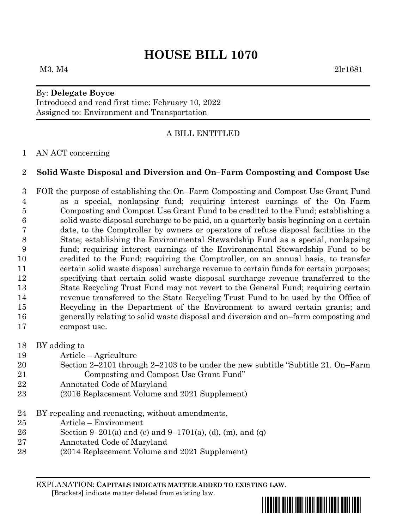# **HOUSE BILL 1070**

## By: **Delegate Boyce**

Introduced and read first time: February 10, 2022 Assigned to: Environment and Transportation

## A BILL ENTITLED

#### AN ACT concerning

## **Solid Waste Disposal and Diversion and On–Farm Composting and Compost Use**

 FOR the purpose of establishing the On–Farm Composting and Compost Use Grant Fund as a special, nonlapsing fund; requiring interest earnings of the On–Farm Composting and Compost Use Grant Fund to be credited to the Fund; establishing a solid waste disposal surcharge to be paid, on a quarterly basis beginning on a certain date, to the Comptroller by owners or operators of refuse disposal facilities in the State; establishing the Environmental Stewardship Fund as a special, nonlapsing fund; requiring interest earnings of the Environmental Stewardship Fund to be credited to the Fund; requiring the Comptroller, on an annual basis, to transfer certain solid waste disposal surcharge revenue to certain funds for certain purposes; specifying that certain solid waste disposal surcharge revenue transferred to the State Recycling Trust Fund may not revert to the General Fund; requiring certain revenue transferred to the State Recycling Trust Fund to be used by the Office of Recycling in the Department of the Environment to award certain grants; and generally relating to solid waste disposal and diversion and on–farm composting and compost use.

- BY adding to
- Article Agriculture
- Section 2–2101 through 2–2103 to be under the new subtitle "Subtitle 21. On–Farm Composting and Compost Use Grant Fund"
- Annotated Code of Maryland
- (2016 Replacement Volume and 2021 Supplement)
- BY repealing and reenacting, without amendments,
- Article Environment
- 26 Section 9–201(a) and (e) and 9–1701(a), (d), (m), and (q)
- Annotated Code of Maryland
- (2014 Replacement Volume and 2021 Supplement)

EXPLANATION: **CAPITALS INDICATE MATTER ADDED TO EXISTING LAW**.  **[**Brackets**]** indicate matter deleted from existing law.

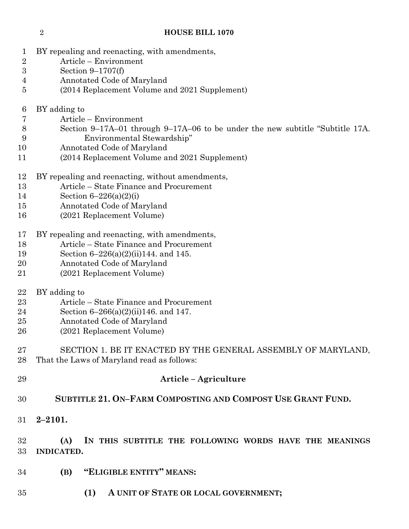- BY repealing and reenacting, with amendments,
- Article Environment
- Section 9–1707(f)
- Annotated Code of Maryland
- (2014 Replacement Volume and 2021 Supplement)
- BY adding to
- Article Environment
- Section 9–17A–01 through 9–17A–06 to be under the new subtitle "Subtitle 17A. Environmental Stewardship"
- Annotated Code of Maryland
- (2014 Replacement Volume and 2021 Supplement)
- BY repealing and reenacting, without amendments,
- Article State Finance and Procurement
- Section 6–226(a)(2)(i)
- Annotated Code of Maryland
- (2021 Replacement Volume)
- BY repealing and reenacting, with amendments,
- Article State Finance and Procurement
- Section 6–226(a)(2)(ii)144. and 145.
- Annotated Code of Maryland
- (2021 Replacement Volume)
- BY adding to
- Article State Finance and Procurement
- Section 6–266(a)(2)(ii)146. and 147.
- Annotated Code of Maryland
- (2021 Replacement Volume)
- SECTION 1. BE IT ENACTED BY THE GENERAL ASSEMBLY OF MARYLAND, That the Laws of Maryland read as follows:
- **Article – Agriculture**
- **SUBTITLE 21. ON–FARM COMPOSTING AND COMPOST USE GRANT FUND.**
- **2–2101.**

## **(A) IN THIS SUBTITLE THE FOLLOWING WORDS HAVE THE MEANINGS INDICATED.**

- **(B) "ELIGIBLE ENTITY" MEANS:**
- **(1) A UNIT OF STATE OR LOCAL GOVERNMENT;**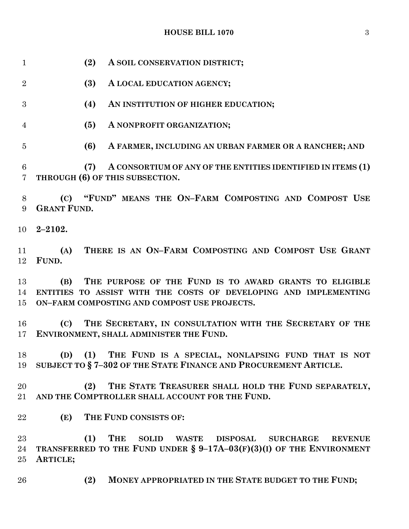**(2) A SOIL CONSERVATION DISTRICT; (3) A LOCAL EDUCATION AGENCY; (4) AN INSTITUTION OF HIGHER EDUCATION; (5) A NONPROFIT ORGANIZATION; (6) A FARMER, INCLUDING AN URBAN FARMER OR A RANCHER; AND (7) A CONSORTIUM OF ANY OF THE ENTITIES IDENTIFIED IN ITEMS (1) THROUGH (6) OF THIS SUBSECTION. (C) "FUND" MEANS THE ON–FARM COMPOSTING AND COMPOST USE GRANT FUND. 2–2102.** 11 (A) **THERE IS AN ON-FARM COMPOSTING AND COMPOST USE GRANT FUND. (B) THE PURPOSE OF THE FUND IS TO AWARD GRANTS TO ELIGIBLE ENTITIES TO ASSIST WITH THE COSTS OF DEVELOPING AND IMPLEMENTING ON–FARM COMPOSTING AND COMPOST USE PROJECTS. (C) THE SECRETARY, IN CONSULTATION WITH THE SECRETARY OF THE ENVIRONMENT, SHALL ADMINISTER THE FUND. (D) (1) THE FUND IS A SPECIAL, NONLAPSING FUND THAT IS NOT SUBJECT TO § 7–302 OF THE STATE FINANCE AND PROCUREMENT ARTICLE. (2) THE STATE TREASURER SHALL HOLD THE FUND SEPARATELY, AND THE COMPTROLLER SHALL ACCOUNT FOR THE FUND. (E) THE FUND CONSISTS OF: (1) THE SOLID WASTE DISPOSAL SURCHARGE REVENUE TRANSFERRED TO THE FUND UNDER § 9–17A–03(F)(3)(I) OF THE ENVIRONMENT ARTICLE; (2) MONEY APPROPRIATED IN THE STATE BUDGET TO THE FUND;**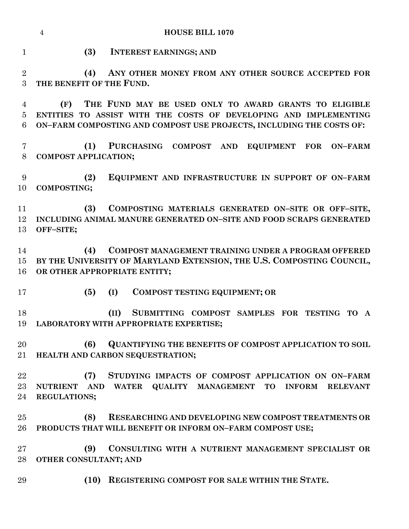|                     | <b>HOUSE BILL 1070</b><br>$\overline{4}$                                                                             |  |  |  |
|---------------------|----------------------------------------------------------------------------------------------------------------------|--|--|--|
| $\mathbf{1}$        | (3)<br><b>INTEREST EARNINGS; AND</b>                                                                                 |  |  |  |
| $\overline{2}$<br>3 | ANY OTHER MONEY FROM ANY OTHER SOURCE ACCEPTED FOR<br>(4)<br>THE BENEFIT OF THE FUND.                                |  |  |  |
| 4                   | THE FUND MAY BE USED ONLY TO AWARD GRANTS TO ELIGIBLE<br>(F)                                                         |  |  |  |
| 5                   | ENTITIES TO ASSIST WITH THE COSTS OF DEVELOPING AND IMPLEMENTING                                                     |  |  |  |
| 6                   | ON-FARM COMPOSTING AND COMPOST USE PROJECTS, INCLUDING THE COSTS OF:                                                 |  |  |  |
| 7<br>8              | PURCHASING COMPOST AND<br>(1)<br>EQUIPMENT FOR<br><b>ON-FARM</b><br><b>COMPOST APPLICATION;</b>                      |  |  |  |
| 9<br>10             | EQUIPMENT AND INFRASTRUCTURE IN SUPPORT OF ON-FARM<br>(2)<br><b>COMPOSTING;</b>                                      |  |  |  |
| 11                  | COMPOSTING MATERIALS GENERATED ON-SITE OR OFF-SITE,<br>(3)                                                           |  |  |  |
| 12                  | INCLUDING ANIMAL MANURE GENERATED ON-SITE AND FOOD SCRAPS GENERATED                                                  |  |  |  |
| 13                  | OFF-SITE;                                                                                                            |  |  |  |
|                     |                                                                                                                      |  |  |  |
| 14                  | (4)<br>COMPOST MANAGEMENT TRAINING UNDER A PROGRAM OFFERED                                                           |  |  |  |
| 15 <sup>15</sup>    | BY THE UNIVERSITY OF MARYLAND EXTENSION, THE U.S. COMPOSTING COUNCIL,                                                |  |  |  |
| 16                  | OR OTHER APPROPRIATE ENTITY;                                                                                         |  |  |  |
| 17                  | (5)<br>(I)<br><b>COMPOST TESTING EQUIPMENT; OR</b>                                                                   |  |  |  |
| 18                  | (II)<br>SUBMITTING COMPOST SAMPLES FOR TESTING TO<br>$\mathbf{A}$                                                    |  |  |  |
| 19                  | <b>LABORATORY WITH APPROPRIATE EXPERTISE;</b>                                                                        |  |  |  |
| 20                  | <b>QUANTIFYING THE BENEFITS OF COMPOST APPLICATION TO SOIL</b><br>(6)                                                |  |  |  |
| 21                  | HEALTH AND CARBON SEQUESTRATION;                                                                                     |  |  |  |
| 22                  | STUDYING IMPACTS OF COMPOST APPLICATION ON ON-FARM<br>(7)                                                            |  |  |  |
| $23\,$              | <b>QUALITY MANAGEMENT</b><br><b>AND</b><br><b>WATER</b><br>TO<br><b>INFORM</b><br><b>RELEVANT</b><br><b>NUTRIENT</b> |  |  |  |
| 24                  | <b>REGULATIONS;</b>                                                                                                  |  |  |  |
|                     |                                                                                                                      |  |  |  |
| 25                  | (8)<br><b>RESEARCHING AND DEVELOPING NEW COMPOST TREATMENTS OR</b>                                                   |  |  |  |
| 26                  | PRODUCTS THAT WILL BENEFIT OR INFORM ON-FARM COMPOST USE;                                                            |  |  |  |
| $27\,$              | CONSULTING WITH A NUTRIENT MANAGEMENT SPECIALIST OR<br>(9)                                                           |  |  |  |
| 28                  | OTHER CONSULTANT; AND                                                                                                |  |  |  |
| 29                  | REGISTERING COMPOST FOR SALE WITHIN THE STATE.<br>(10)                                                               |  |  |  |
|                     |                                                                                                                      |  |  |  |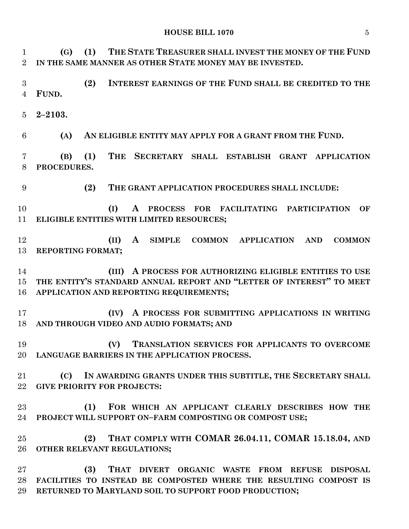**(G) (1) THE STATE TREASURER SHALL INVEST THE MONEY OF THE FUND IN THE SAME MANNER AS OTHER STATE MONEY MAY BE INVESTED.**

 **(2) INTEREST EARNINGS OF THE FUND SHALL BE CREDITED TO THE FUND.**

**2–2103.**

**(A) AN ELIGIBLE ENTITY MAY APPLY FOR A GRANT FROM THE FUND.**

 **(B) (1) THE SECRETARY SHALL ESTABLISH GRANT APPLICATION PROCEDURES.**

**(2) THE GRANT APPLICATION PROCEDURES SHALL INCLUDE:**

 **(I) A PROCESS FOR FACILITATING PARTICIPATION OF ELIGIBLE ENTITIES WITH LIMITED RESOURCES;**

 **(II) A SIMPLE COMMON APPLICATION AND COMMON REPORTING FORMAT;**

 **(III) A PROCESS FOR AUTHORIZING ELIGIBLE ENTITIES TO USE THE ENTITY'S STANDARD ANNUAL REPORT AND "LETTER OF INTEREST" TO MEET APPLICATION AND REPORTING REQUIREMENTS;**

 **(IV) A PROCESS FOR SUBMITTING APPLICATIONS IN WRITING AND THROUGH VIDEO AND AUDIO FORMATS; AND**

 **(V) TRANSLATION SERVICES FOR APPLICANTS TO OVERCOME LANGUAGE BARRIERS IN THE APPLICATION PROCESS.**

 **(C) IN AWARDING GRANTS UNDER THIS SUBTITLE, THE SECRETARY SHALL GIVE PRIORITY FOR PROJECTS:**

 **(1) FOR WHICH AN APPLICANT CLEARLY DESCRIBES HOW THE PROJECT WILL SUPPORT ON–FARM COMPOSTING OR COMPOST USE;**

 **(2) THAT COMPLY WITH COMAR 26.04.11, COMAR 15.18.04, AND OTHER RELEVANT REGULATIONS;**

 **(3) THAT DIVERT ORGANIC WASTE FROM REFUSE DISPOSAL FACILITIES TO INSTEAD BE COMPOSTED WHERE THE RESULTING COMPOST IS RETURNED TO MARYLAND SOIL TO SUPPORT FOOD PRODUCTION;**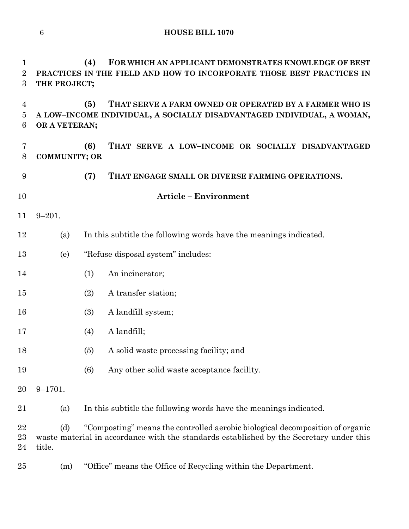| 1<br>$\overline{2}$<br>3 | THE PROJECT;         | (4) | FOR WHICH AN APPLICANT DEMONSTRATES KNOWLEDGE OF BEST<br>PRACTICES IN THE FIELD AND HOW TO INCORPORATE THOSE BEST PRACTICES IN                                           |
|--------------------------|----------------------|-----|--------------------------------------------------------------------------------------------------------------------------------------------------------------------------|
| 4<br>5<br>6              | OR A VETERAN;        | (5) | THAT SERVE A FARM OWNED OR OPERATED BY A FARMER WHO IS<br>A LOW-INCOME INDIVIDUAL, A SOCIALLY DISADVANTAGED INDIVIDUAL, A WOMAN,                                         |
| 7<br>8                   | <b>COMMUNITY; OR</b> | (6) | THAT SERVE A LOW-INCOME OR SOCIALLY DISADVANTAGED                                                                                                                        |
| 9                        |                      | (7) | THAT ENGAGE SMALL OR DIVERSE FARMING OPERATIONS.                                                                                                                         |
| 10                       |                      |     | <b>Article - Environment</b>                                                                                                                                             |
| 11                       | $9 - 201.$           |     |                                                                                                                                                                          |
| 12                       | (a)                  |     | In this subtitle the following words have the meanings indicated.                                                                                                        |
| 13                       | (e)                  |     | "Refuse disposal system" includes:                                                                                                                                       |
| 14                       |                      | (1) | An incinerator;                                                                                                                                                          |
| 15                       |                      | (2) | A transfer station;                                                                                                                                                      |
| 16                       |                      | (3) | A landfill system;                                                                                                                                                       |
| 17                       |                      | (4) | A landfill;                                                                                                                                                              |
| 18                       |                      | (5) | A solid waste processing facility; and                                                                                                                                   |
| 19                       |                      | (6) | Any other solid waste acceptance facility.                                                                                                                               |
| 20                       | $9 - 1701.$          |     |                                                                                                                                                                          |
| 21                       | (a)                  |     | In this subtitle the following words have the meanings indicated.                                                                                                        |
| 22<br>23<br>24           | (d)<br>title.        |     | "Composting" means the controlled aerobic biological decomposition of organic<br>waste material in accordance with the standards established by the Secretary under this |

(m) "Office" means the Office of Recycling within the Department.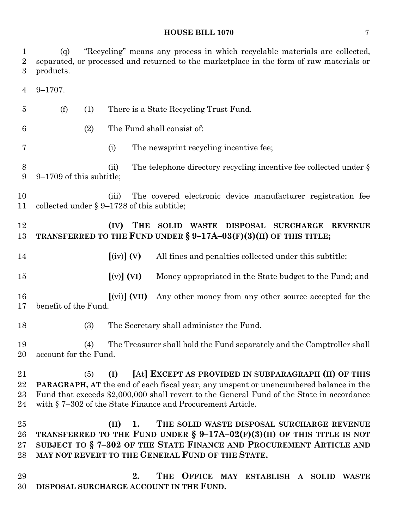(q) "Recycling" means any process in which recyclable materials are collected, separated, or processed and returned to the marketplace in the form of raw materials or products. 9–1707. (f) (1) There is a State Recycling Trust Fund. (2) The Fund shall consist of: (i) The newsprint recycling incentive fee; 8 (ii) The telephone directory recycling incentive fee collected under § 9–1709 of this subtitle; (iii) The covered electronic device manufacturer registration fee collected under § 9–1728 of this subtitle; **(IV) THE SOLID WASTE DISPOSAL SURCHARGE REVENUE TRANSFERRED TO THE FUND UNDER § 9–17A–03(F)(3)(II) OF THIS TITLE; [**(iv)**] (V)** All fines and penalties collected under this subtitle; **[**(v)**] (VI)** Money appropriated in the State budget to the Fund; and **[**(vi)**] (VII)** Any other money from any other source accepted for the benefit of the Fund. (3) The Secretary shall administer the Fund. (4) The Treasurer shall hold the Fund separately and the Comptroller shall account for the Fund. (5) **(I) [**At**] EXCEPT AS PROVIDED IN SUBPARAGRAPH (II) OF THIS PARAGRAPH, AT** the end of each fiscal year, any unspent or unencumbered balance in the Fund that exceeds \$2,000,000 shall revert to the General Fund of the State in accordance with § 7–302 of the State Finance and Procurement Article. **(II) 1. THE SOLID WASTE DISPOSAL SURCHARGE REVENUE TRANSFERRED TO THE FUND UNDER § 9–17A–02(F)(3)(II) OF THIS TITLE IS NOT SUBJECT TO § 7–302 OF THE STATE FINANCE AND PROCUREMENT ARTICLE AND MAY NOT REVERT TO THE GENERAL FUND OF THE STATE. 2. THE OFFICE MAY ESTABLISH A SOLID WASTE** 

**DISPOSAL SURCHARGE ACCOUNT IN THE FUND.**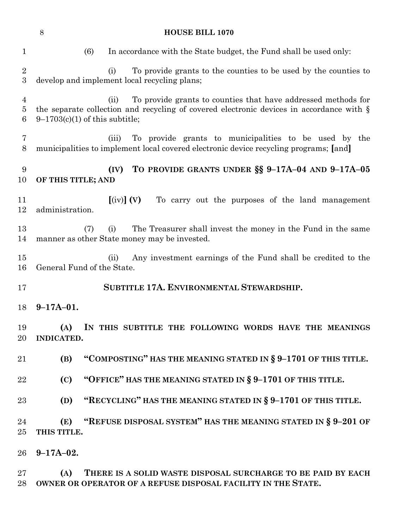|                                       | 8<br><b>HOUSE BILL 1070</b>                                                                                                                                                                              |  |  |  |  |  |
|---------------------------------------|----------------------------------------------------------------------------------------------------------------------------------------------------------------------------------------------------------|--|--|--|--|--|
| $\mathbf 1$                           | (6)<br>In accordance with the State budget, the Fund shall be used only:                                                                                                                                 |  |  |  |  |  |
| $\overline{2}$<br>3                   | To provide grants to the counties to be used by the counties to<br>(i)<br>develop and implement local recycling plans;                                                                                   |  |  |  |  |  |
| $\overline{4}$<br>$\overline{5}$<br>6 | To provide grants to counties that have addressed methods for<br>(ii)<br>the separate collection and recycling of covered electronic devices in accordance with $\S$<br>$9-1703(c)(1)$ of this subtitle; |  |  |  |  |  |
| 7<br>8                                | To provide grants to municipalities to be used by the<br>(iii)<br>municipalities to implement local covered electronic device recycling programs; [and]                                                  |  |  |  |  |  |
| 9<br>10                               | TO PROVIDE GRANTS UNDER §§ 9-17A-04 AND 9-17A-05<br>(IV)<br>OF THIS TITLE; AND                                                                                                                           |  |  |  |  |  |
| 11<br>12                              | $\left[\text{(iv)}\right]$ (V)<br>To carry out the purposes of the land management<br>administration.                                                                                                    |  |  |  |  |  |
| 13<br>14                              | The Treasurer shall invest the money in the Fund in the same<br>(i)<br>(7)<br>manner as other State money may be invested.                                                                               |  |  |  |  |  |
| $15\,$<br>16                          | Any investment earnings of the Fund shall be credited to the<br>(ii)<br>General Fund of the State.                                                                                                       |  |  |  |  |  |
| 17                                    | SUBTITLE 17A. ENVIRONMENTAL STEWARDSHIP.                                                                                                                                                                 |  |  |  |  |  |
| 18                                    | $9-17A-01.$                                                                                                                                                                                              |  |  |  |  |  |
| 19<br>20                              | (A) IN THIS SUBTITLE THE FOLLOWING WORDS HAVE THE MEANINGS<br>INDICATED.                                                                                                                                 |  |  |  |  |  |
| 21                                    | "COMPOSTING" HAS THE MEANING STATED IN § 9-1701 OF THIS TITLE.<br>(B)                                                                                                                                    |  |  |  |  |  |
| 22                                    | "OFFICE" HAS THE MEANING STATED IN § 9-1701 OF THIS TITLE.<br>(C)                                                                                                                                        |  |  |  |  |  |
| 23                                    | "RECYCLING" HAS THE MEANING STATED IN § 9-1701 OF THIS TITLE.<br>(D)                                                                                                                                     |  |  |  |  |  |
| 24<br>25                              | "REFUSE DISPOSAL SYSTEM" HAS THE MEANING STATED IN § 9-201 OF<br>(E)<br>THIS TITLE.                                                                                                                      |  |  |  |  |  |
| $26\,$                                | $9-17A-02.$                                                                                                                                                                                              |  |  |  |  |  |
| $27\,$<br>28                          | THERE IS A SOLID WASTE DISPOSAL SURCHARGE TO BE PAID BY EACH<br>(A)<br>OWNER OR OPERATOR OF A REFUSE DISPOSAL FACILITY IN THE STATE.                                                                     |  |  |  |  |  |
|                                       |                                                                                                                                                                                                          |  |  |  |  |  |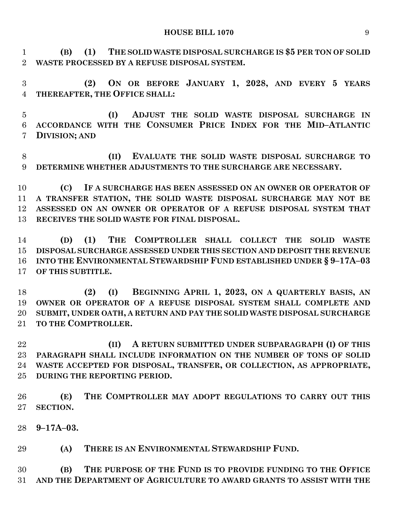**(B) (1) THE SOLID WASTE DISPOSAL SURCHARGE IS \$5 PER TON OF SOLID WASTE PROCESSED BY A REFUSE DISPOSAL SYSTEM.**

 **(2) ON OR BEFORE JANUARY 1, 2028, AND EVERY 5 YEARS THEREAFTER, THE OFFICE SHALL:**

 **(I) ADJUST THE SOLID WASTE DISPOSAL SURCHARGE IN ACCORDANCE WITH THE CONSUMER PRICE INDEX FOR THE MID–ATLANTIC DIVISION; AND**

 **(II) EVALUATE THE SOLID WASTE DISPOSAL SURCHARGE TO DETERMINE WHETHER ADJUSTMENTS TO THE SURCHARGE ARE NECESSARY.**

 **(C) IF A SURCHARGE HAS BEEN ASSESSED ON AN OWNER OR OPERATOR OF A TRANSFER STATION, THE SOLID WASTE DISPOSAL SURCHARGE MAY NOT BE ASSESSED ON AN OWNER OR OPERATOR OF A REFUSE DISPOSAL SYSTEM THAT RECEIVES THE SOLID WASTE FOR FINAL DISPOSAL.**

 **(D) (1) THE COMPTROLLER SHALL COLLECT THE SOLID WASTE DISPOSAL SURCHARGE ASSESSED UNDER THIS SECTION AND DEPOSIT THE REVENUE INTO THE ENVIRONMENTAL STEWARDSHIP FUND ESTABLISHED UNDER § 9–17A–03 OF THIS SUBTITLE.**

 **(2) (I) BEGINNING APRIL 1, 2023, ON A QUARTERLY BASIS, AN OWNER OR OPERATOR OF A REFUSE DISPOSAL SYSTEM SHALL COMPLETE AND SUBMIT, UNDER OATH, A RETURN AND PAY THE SOLID WASTE DISPOSAL SURCHARGE TO THE COMPTROLLER.**

 **(II) A RETURN SUBMITTED UNDER SUBPARAGRAPH (I) OF THIS PARAGRAPH SHALL INCLUDE INFORMATION ON THE NUMBER OF TONS OF SOLID WASTE ACCEPTED FOR DISPOSAL, TRANSFER, OR COLLECTION, AS APPROPRIATE, DURING THE REPORTING PERIOD.**

 **(E) THE COMPTROLLER MAY ADOPT REGULATIONS TO CARRY OUT THIS SECTION.**

**9–17A–03.**

**(A) THERE IS AN ENVIRONMENTAL STEWARDSHIP FUND.**

 **(B) THE PURPOSE OF THE FUND IS TO PROVIDE FUNDING TO THE OFFICE AND THE DEPARTMENT OF AGRICULTURE TO AWARD GRANTS TO ASSIST WITH THE**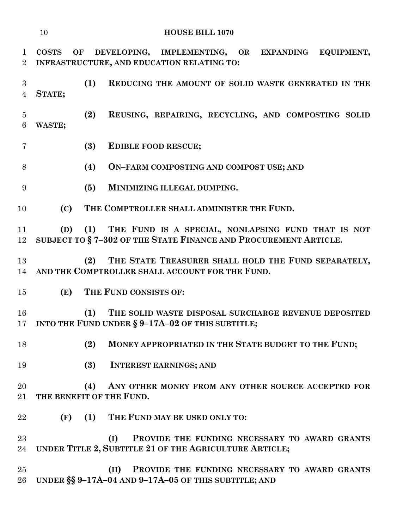| 10<br><b>HOUSE BILL 1070</b>   |                                                                                                                       |                                                                                                                            |  |  |
|--------------------------------|-----------------------------------------------------------------------------------------------------------------------|----------------------------------------------------------------------------------------------------------------------------|--|--|
| $\mathbf{1}$<br>$\overline{2}$ | DEVELOPING, IMPLEMENTING, OR EXPANDING EQUIPMENT,<br><b>COSTS</b><br>OF<br>INFRASTRUCTURE, AND EDUCATION RELATING TO: |                                                                                                                            |  |  |
| 3<br>$\overline{4}$            | STATE;                                                                                                                | (1)<br>REDUCING THE AMOUNT OF SOLID WASTE GENERATED IN THE                                                                 |  |  |
| $\overline{5}$<br>6            | WASTE;                                                                                                                | (2)<br>REUSING, REPAIRING, RECYCLING, AND COMPOSTING SOLID                                                                 |  |  |
| 7                              |                                                                                                                       | (3)<br>EDIBLE FOOD RESCUE;                                                                                                 |  |  |
| 8                              |                                                                                                                       | (4)<br>ON-FARM COMPOSTING AND COMPOST USE; AND                                                                             |  |  |
| 9                              |                                                                                                                       | (5)<br>MINIMIZING ILLEGAL DUMPING.                                                                                         |  |  |
| 10                             | (C)                                                                                                                   | THE COMPTROLLER SHALL ADMINISTER THE FUND.                                                                                 |  |  |
| 11<br>12                       | (D)                                                                                                                   | (1) THE FUND IS A SPECIAL, NONLAPSING FUND THAT IS NOT<br>SUBJECT TO § 7-302 OF THE STATE FINANCE AND PROCUREMENT ARTICLE. |  |  |
| 13<br>14                       |                                                                                                                       | THE STATE TREASURER SHALL HOLD THE FUND SEPARATELY,<br>(2)<br>AND THE COMPTROLLER SHALL ACCOUNT FOR THE FUND.              |  |  |
| 15                             | (E)                                                                                                                   | THE FUND CONSISTS OF:                                                                                                      |  |  |
| 16<br>17                       |                                                                                                                       | (1)<br>THE SOLID WASTE DISPOSAL SURCHARGE REVENUE DEPOSITED<br>INTO THE FUND UNDER § 9-17A-02 OF THIS SUBTITLE;            |  |  |
| 18                             |                                                                                                                       | (2)<br>MONEY APPROPRIATED IN THE STATE BUDGET TO THE FUND;                                                                 |  |  |
| 19                             |                                                                                                                       | (3)<br><b>INTEREST EARNINGS; AND</b>                                                                                       |  |  |
| 20<br>21                       |                                                                                                                       | (4)<br>ANY OTHER MONEY FROM ANY OTHER SOURCE ACCEPTED FOR<br>THE BENEFIT OF THE FUND.                                      |  |  |
| 22                             | (F)                                                                                                                   | (1) THE FUND MAY BE USED ONLY TO:                                                                                          |  |  |
| 23<br>24                       |                                                                                                                       | PROVIDE THE FUNDING NECESSARY TO AWARD GRANTS<br>(I)<br>UNDER TITLE 2, SUBTITLE 21 OF THE AGRICULTURE ARTICLE;             |  |  |
| 25<br>26                       |                                                                                                                       | PROVIDE THE FUNDING NECESSARY TO AWARD GRANTS<br>(II)<br>UNDER §§ 9-17A-04 AND 9-17A-05 OF THIS SUBTITLE; AND              |  |  |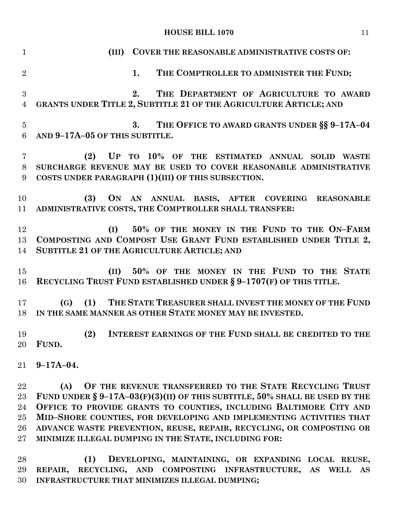**(III) COVER THE REASONABLE ADMINISTRATIVE COSTS OF: 1. THE COMPTROLLER TO ADMINISTER THE FUND; 2. THE DEPARTMENT OF AGRICULTURE TO AWARD GRANTS UNDER TITLE 2, SUBTITLE 21 OF THE AGRICULTURE ARTICLE; AND 3. THE OFFICE TO AWARD GRANTS UNDER §§ 9–17A–04 AND 9–17A–05 OF THIS SUBTITLE. (2) UP TO 10% OF THE ESTIMATED ANNUAL SOLID WASTE SURCHARGE REVENUE MAY BE USED TO COVER REASONABLE ADMINISTRATIVE COSTS UNDER PARAGRAPH (1)(III) OF THIS SUBSECTION. (3) ON AN ANNUAL BASIS, AFTER COVERING REASONABLE ADMINISTRATIVE COSTS, THE COMPTROLLER SHALL TRANSFER: (I) 50% OF THE MONEY IN THE FUND TO THE ON–FARM COMPOSTING AND COMPOST USE GRANT FUND ESTABLISHED UNDER TITLE 2, SUBTITLE 21 OF THE AGRICULTURE ARTICLE; AND (II) 50% OF THE MONEY IN THE FUND TO THE STATE RECYCLING TRUST FUND ESTABLISHED UNDER § 9–1707(F) OF THIS TITLE. (G) (1) THE STATE TREASURER SHALL INVEST THE MONEY OF THE FUND IN THE SAME MANNER AS OTHER STATE MONEY MAY BE INVESTED. (2) INTEREST EARNINGS OF THE FUND SHALL BE CREDITED TO THE FUND. 9–17A–04. (A) OF THE REVENUE TRANSFERRED TO THE STATE RECYCLING TRUST FUND UNDER § 9–17A–03(F)(3)(II) OF THIS SUBTITLE, 50% SHALL BE USED BY THE OFFICE TO PROVIDE GRANTS TO COUNTIES, INCLUDING BALTIMORE CITY AND MID–SHORE COUNTIES, FOR DEVELOPING AND IMPLEMENTING ACTIVITIES THAT ADVANCE WASTE PREVENTION, REUSE, REPAIR, RECYCLING, OR COMPOSTING OR MINIMIZE ILLEGAL DUMPING IN THE STATE, INCLUDING FOR:**

 **(1) DEVELOPING, MAINTAINING, OR EXPANDING LOCAL REUSE, REPAIR, RECYCLING, AND COMPOSTING INFRASTRUCTURE, AS WELL AS INFRASTRUCTURE THAT MINIMIZES ILLEGAL DUMPING;**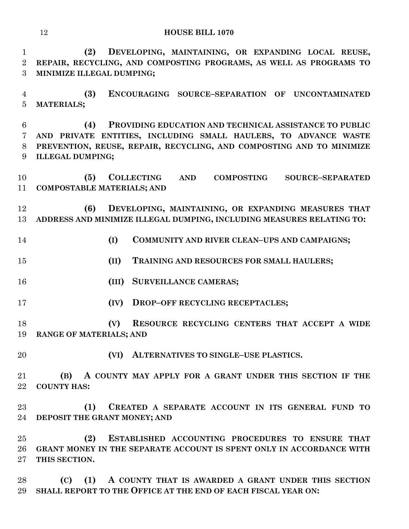**(2) DEVELOPING, MAINTAINING, OR EXPANDING LOCAL REUSE, REPAIR, RECYCLING, AND COMPOSTING PROGRAMS, AS WELL AS PROGRAMS TO MINIMIZE ILLEGAL DUMPING;**

 **(3) ENCOURAGING SOURCE–SEPARATION OF UNCONTAMINATED MATERIALS;**

 **(4) PROVIDING EDUCATION AND TECHNICAL ASSISTANCE TO PUBLIC AND PRIVATE ENTITIES, INCLUDING SMALL HAULERS, TO ADVANCE WASTE PREVENTION, REUSE, REPAIR, RECYCLING, AND COMPOSTING AND TO MINIMIZE ILLEGAL DUMPING;**

 **(5) COLLECTING AND COMPOSTING SOURCE–SEPARATED COMPOSTABLE MATERIALS; AND**

 **(6) DEVELOPING, MAINTAINING, OR EXPANDING MEASURES THAT ADDRESS AND MINIMIZE ILLEGAL DUMPING, INCLUDING MEASURES RELATING TO:**

- **(I) COMMUNITY AND RIVER CLEAN–UPS AND CAMPAIGNS;**
- **(II) TRAINING AND RESOURCES FOR SMALL HAULERS;**
- **(III) SURVEILLANCE CAMERAS;**
- **(IV) DROP–OFF RECYCLING RECEPTACLES;**

 **(V) RESOURCE RECYCLING CENTERS THAT ACCEPT A WIDE RANGE OF MATERIALS; AND**

**(VI) ALTERNATIVES TO SINGLE–USE PLASTICS.**

 **(B) A COUNTY MAY APPLY FOR A GRANT UNDER THIS SECTION IF THE COUNTY HAS:**

 **(1) CREATED A SEPARATE ACCOUNT IN ITS GENERAL FUND TO DEPOSIT THE GRANT MONEY; AND** 

 **(2) ESTABLISHED ACCOUNTING PROCEDURES TO ENSURE THAT GRANT MONEY IN THE SEPARATE ACCOUNT IS SPENT ONLY IN ACCORDANCE WITH THIS SECTION.**

 **(C) (1) A COUNTY THAT IS AWARDED A GRANT UNDER THIS SECTION SHALL REPORT TO THE OFFICE AT THE END OF EACH FISCAL YEAR ON:**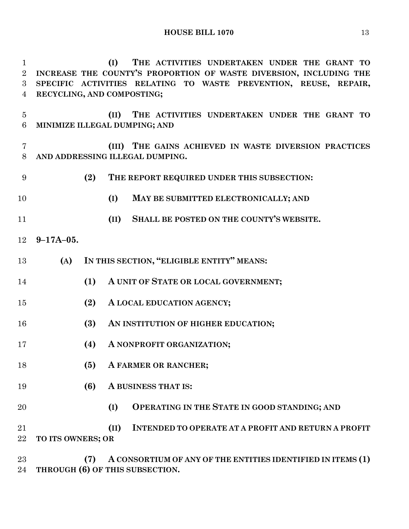**(I) THE ACTIVITIES UNDERTAKEN UNDER THE GRANT TO INCREASE THE COUNTY'S PROPORTION OF WASTE DIVERSION, INCLUDING THE** 

 **SPECIFIC ACTIVITIES RELATING TO WASTE PREVENTION, REUSE, REPAIR, RECYCLING, AND COMPOSTING; (II) THE ACTIVITIES UNDERTAKEN UNDER THE GRANT TO MINIMIZE ILLEGAL DUMPING; AND (III) THE GAINS ACHIEVED IN WASTE DIVERSION PRACTICES AND ADDRESSING ILLEGAL DUMPING. (2) THE REPORT REQUIRED UNDER THIS SUBSECTION: (I) MAY BE SUBMITTED ELECTRONICALLY; AND (II) SHALL BE POSTED ON THE COUNTY'S WEBSITE. 9–17A–05. (A) IN THIS SECTION, "ELIGIBLE ENTITY" MEANS: (1) A UNIT OF STATE OR LOCAL GOVERNMENT; (2) A LOCAL EDUCATION AGENCY; (3) AN INSTITUTION OF HIGHER EDUCATION; (4) A NONPROFIT ORGANIZATION; (5) A FARMER OR RANCHER; (6) A BUSINESS THAT IS: (I) OPERATING IN THE STATE IN GOOD STANDING; AND (II) INTENDED TO OPERATE AT A PROFIT AND RETURN A PROFIT** 

**TO ITS OWNERS; OR**

 **(7) A CONSORTIUM OF ANY OF THE ENTITIES IDENTIFIED IN ITEMS (1) THROUGH (6) OF THIS SUBSECTION.**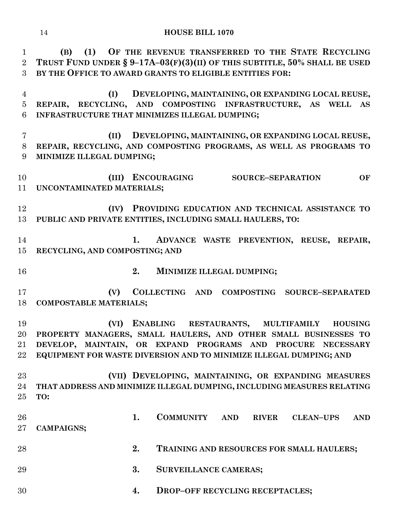**(B) (1) OF THE REVENUE TRANSFERRED TO THE STATE RECYCLING TRUST FUND UNDER § 9–17A–03(F)(3)(II) OF THIS SUBTITLE, 50% SHALL BE USED BY THE OFFICE TO AWARD GRANTS TO ELIGIBLE ENTITIES FOR:**

 **(I) DEVELOPING, MAINTAINING, OR EXPANDING LOCAL REUSE, REPAIR, RECYCLING, AND COMPOSTING INFRASTRUCTURE, AS WELL AS INFRASTRUCTURE THAT MINIMIZES ILLEGAL DUMPING;**

 **(II) DEVELOPING, MAINTAINING, OR EXPANDING LOCAL REUSE, REPAIR, RECYCLING, AND COMPOSTING PROGRAMS, AS WELL AS PROGRAMS TO MINIMIZE ILLEGAL DUMPING;**

 **(III) ENCOURAGING SOURCE–SEPARATION OF UNCONTAMINATED MATERIALS;**

 **(IV) PROVIDING EDUCATION AND TECHNICAL ASSISTANCE TO PUBLIC AND PRIVATE ENTITIES, INCLUDING SMALL HAULERS, TO:**

 **1. ADVANCE WASTE PREVENTION, REUSE, REPAIR, RECYCLING, AND COMPOSTING; AND**

**2. MINIMIZE ILLEGAL DUMPING;**

 **(V) COLLECTING AND COMPOSTING SOURCE–SEPARATED COMPOSTABLE MATERIALS;**

 **(VI) ENABLING RESTAURANTS, MULTIFAMILY HOUSING PROPERTY MANAGERS, SMALL HAULERS, AND OTHER SMALL BUSINESSES TO DEVELOP, MAINTAIN, OR EXPAND PROGRAMS AND PROCURE NECESSARY EQUIPMENT FOR WASTE DIVERSION AND TO MINIMIZE ILLEGAL DUMPING; AND** 

 **(VII) DEVELOPING, MAINTAINING, OR EXPANDING MEASURES THAT ADDRESS AND MINIMIZE ILLEGAL DUMPING, INCLUDING MEASURES RELATING TO:**

 **1. COMMUNITY AND RIVER CLEAN–UPS AND CAMPAIGNS; 2. TRAINING AND RESOURCES FOR SMALL HAULERS; 3. SURVEILLANCE CAMERAS;**

**4. DROP–OFF RECYCLING RECEPTACLES;**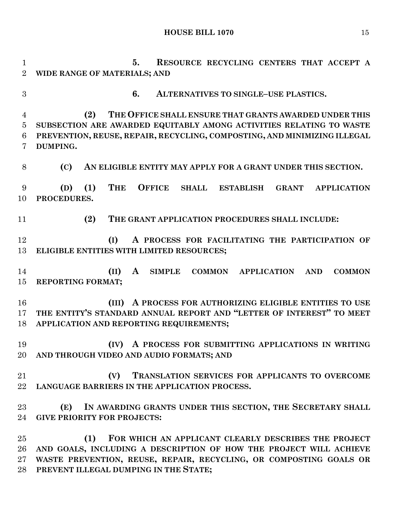**5. RESOURCE RECYCLING CENTERS THAT ACCEPT A WIDE RANGE OF MATERIALS; AND 6. ALTERNATIVES TO SINGLE–USE PLASTICS. (2) THE OFFICE SHALL ENSURE THAT GRANTS AWARDED UNDER THIS SUBSECTION ARE AWARDED EQUITABLY AMONG ACTIVITIES RELATING TO WASTE PREVENTION, REUSE, REPAIR, RECYCLING, COMPOSTING, AND MINIMIZING ILLEGAL DUMPING. (C) AN ELIGIBLE ENTITY MAY APPLY FOR A GRANT UNDER THIS SECTION. (D) (1) THE OFFICE SHALL ESTABLISH GRANT APPLICATION PROCEDURES. (2) THE GRANT APPLICATION PROCEDURES SHALL INCLUDE: (I) A PROCESS FOR FACILITATING THE PARTICIPATION OF ELIGIBLE ENTITIES WITH LIMITED RESOURCES; (II) A SIMPLE COMMON APPLICATION AND COMMON REPORTING FORMAT; (III) A PROCESS FOR AUTHORIZING ELIGIBLE ENTITIES TO USE THE ENTITY'S STANDARD ANNUAL REPORT AND "LETTER OF INTEREST" TO MEET APPLICATION AND REPORTING REQUIREMENTS; (IV) A PROCESS FOR SUBMITTING APPLICATIONS IN WRITING AND THROUGH VIDEO AND AUDIO FORMATS; AND (V) TRANSLATION SERVICES FOR APPLICANTS TO OVERCOME LANGUAGE BARRIERS IN THE APPLICATION PROCESS. (E) IN AWARDING GRANTS UNDER THIS SECTION, THE SECRETARY SHALL GIVE PRIORITY FOR PROJECTS: (1) FOR WHICH AN APPLICANT CLEARLY DESCRIBES THE PROJECT AND GOALS, INCLUDING A DESCRIPTION OF HOW THE PROJECT WILL ACHIEVE WASTE PREVENTION, REUSE, REPAIR, RECYCLING, OR COMPOSTING GOALS OR** 

**PREVENT ILLEGAL DUMPING IN THE STATE;**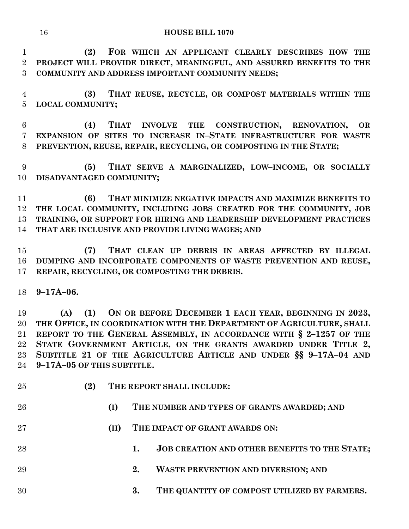**(2) FOR WHICH AN APPLICANT CLEARLY DESCRIBES HOW THE PROJECT WILL PROVIDE DIRECT, MEANINGFUL, AND ASSURED BENEFITS TO THE COMMUNITY AND ADDRESS IMPORTANT COMMUNITY NEEDS;**

 **(3) THAT REUSE, RECYCLE, OR COMPOST MATERIALS WITHIN THE LOCAL COMMUNITY;**

 **(4) THAT INVOLVE THE CONSTRUCTION, RENOVATION, OR EXPANSION OF SITES TO INCREASE IN–STATE INFRASTRUCTURE FOR WASTE PREVENTION, REUSE, REPAIR, RECYCLING, OR COMPOSTING IN THE STATE;**

 **(5) THAT SERVE A MARGINALIZED, LOW–INCOME, OR SOCIALLY DISADVANTAGED COMMUNITY;**

 **(6) THAT MINIMIZE NEGATIVE IMPACTS AND MAXIMIZE BENEFITS TO THE LOCAL COMMUNITY, INCLUDING JOBS CREATED FOR THE COMMUNITY, JOB TRAINING, OR SUPPORT FOR HIRING AND LEADERSHIP DEVELOPMENT PRACTICES THAT ARE INCLUSIVE AND PROVIDE LIVING WAGES; AND**

 **(7) THAT CLEAN UP DEBRIS IN AREAS AFFECTED BY ILLEGAL DUMPING AND INCORPORATE COMPONENTS OF WASTE PREVENTION AND REUSE, REPAIR, RECYCLING, OR COMPOSTING THE DEBRIS.**

**9–17A–06.**

 **(A) (1) ON OR BEFORE DECEMBER 1 EACH YEAR, BEGINNING IN 2023, THE OFFICE, IN COORDINATION WITH THE DEPARTMENT OF AGRICULTURE, SHALL REPORT TO THE GENERAL ASSEMBLY, IN ACCORDANCE WITH § 2–1257 OF THE STATE GOVERNMENT ARTICLE, ON THE GRANTS AWARDED UNDER TITLE 2, SUBTITLE 21 OF THE AGRICULTURE ARTICLE AND UNDER §§ 9–17A–04 AND 9–17A–05 OF THIS SUBTITLE.**

 **(2) THE REPORT SHALL INCLUDE: (I) THE NUMBER AND TYPES OF GRANTS AWARDED; AND (II) THE IMPACT OF GRANT AWARDS ON: 1. JOB CREATION AND OTHER BENEFITS TO THE STATE; 2. WASTE PREVENTION AND DIVERSION; AND 3. THE QUANTITY OF COMPOST UTILIZED BY FARMERS.**